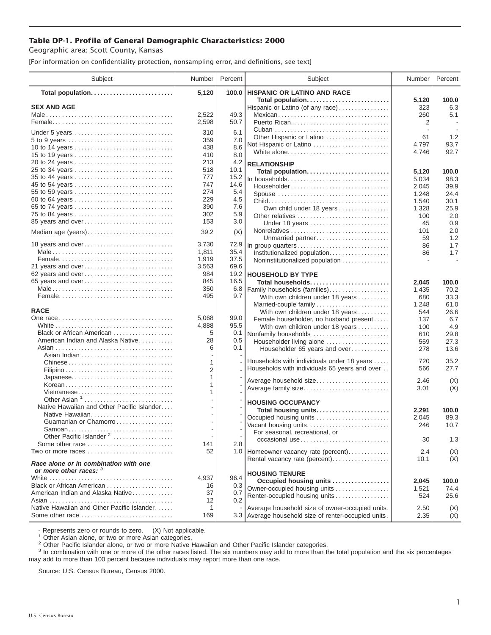## **Table DP-1. Profile of General Demographic Characteristics: 2000**

Geographic area: Scott County, Kansas

[For information on confidentiality protection, nonsampling error, and definitions, see text]

| Subject                                                                       | Number            | Percent           | Subject                                                                                                 | Number              | Percent             |
|-------------------------------------------------------------------------------|-------------------|-------------------|---------------------------------------------------------------------------------------------------------|---------------------|---------------------|
| Total population                                                              | 5,120             | 100.0             | <b>HISPANIC OR LATINO AND RACE</b>                                                                      |                     |                     |
| <b>SEX AND AGE</b>                                                            | 2,522             | 49.3              | Total population<br>Hispanic or Latino (of any race)<br>Mexican                                         | 5,120<br>323<br>260 | 100.0<br>6.3<br>5.1 |
|                                                                               | 2,598             | 50.7              |                                                                                                         | 2                   |                     |
| Under 5 years                                                                 | 310<br>359        | 6.1<br>7.0        | Other Hispanic or Latino<br>Not Hispanic or Latino                                                      | 61<br>4,797         | 1.2<br>93.7         |
| 10 to 14 years<br>15 to 19 years                                              | 438<br>410<br>213 | 8.6<br>8.0<br>4.2 | White alone<br><b>RELATIONSHIP</b>                                                                      | 4,746               | 92.7                |
| 25 to 34 years                                                                | 518               | 10.1              | Total population                                                                                        | 5,120               | 100.0               |
| 35 to 44 years                                                                | 777               | 15.2              | In households                                                                                           | 5,034               | 98.3                |
| 45 to 54 years                                                                | 747<br>274        | 14.6<br>5.4       | $Householder \dots \dots \dots \dots \dots \dots \dots \dots \dots \dots \dots$                         | 2,045               | 39.9                |
| 55 to 59 years<br>60 to 64 years                                              | 229               | 4.5               | Spouse                                                                                                  | 1,248               | 24.4<br>30.1        |
| 65 to 74 years                                                                | 390               | 7.6               | Own child under 18 years                                                                                | 1,540<br>1,328      | 25.9                |
| 75 to 84 years                                                                | 302               | 5.9               |                                                                                                         | 100                 | 2.0                 |
| 85 years and over                                                             | 153               | 3.0               | Under 18 years                                                                                          | 45                  | 0.9                 |
| Median age (years)                                                            | 39.2              | (X)               |                                                                                                         | 101<br>59           | 2.0<br>1.2          |
| 18 years and over                                                             | 3,730             | 72.9              | Unmarried partner<br>In group quarters                                                                  | 86                  | 1.7                 |
|                                                                               | 1,811             | 35.4              | Institutionalized population.                                                                           | 86                  | 1.7                 |
|                                                                               | 1,919             | 37.5              | Noninstitutionalized population                                                                         |                     |                     |
| 21 years and over                                                             | 3,563             | 69.6              |                                                                                                         |                     |                     |
| 62 years and over<br>65 years and over                                        | 984<br>845        | 19.2<br>16.5      | <b>HOUSEHOLD BY TYPE</b><br>Total households                                                            |                     |                     |
|                                                                               | 350               | 6.8               | Family households (families)                                                                            | 2,045<br>1,435      | 100.0<br>70.2       |
|                                                                               | 495               | 9.7               | With own children under 18 years                                                                        | 680                 | 33.3                |
|                                                                               |                   |                   | Married-couple family                                                                                   | 1,248               | 61.0                |
| <b>RACE</b>                                                                   |                   |                   | With own children under 18 years                                                                        | 544                 | 26.6                |
|                                                                               | 5,068             | 99.0              | Female householder, no husband present                                                                  | 137                 | 6.7                 |
| Black or African American                                                     | 4,888<br>5        | 95.5<br>0.1       | With own children under 18 years                                                                        | 100                 | 4.9                 |
| American Indian and Alaska Native                                             | 28                | 0.5               | Nonfamily households<br>Householder living alone                                                        | 610<br>559          | 29.8<br>27.3        |
|                                                                               | 6                 | 0.1               | Householder 65 years and over                                                                           | 278                 | 13.6                |
| Chinese                                                                       | 1                 |                   | Households with individuals under 18 years                                                              | 720                 | 35.2                |
|                                                                               | $\overline{c}$    |                   | Households with individuals 65 years and over                                                           | 566                 | 27.7                |
| Japanese                                                                      | 1                 |                   | Average household size                                                                                  | 2.46                | (X)                 |
| Korean                                                                        | 1<br>1            |                   | Average family size                                                                                     | 3.01                | (X)                 |
| Vietnamese<br>Other Asian $1, \ldots, \ldots, \ldots, \ldots, \ldots, \ldots$ |                   |                   |                                                                                                         |                     |                     |
| Native Hawaiian and Other Pacific Islander                                    |                   |                   | <b>HOUSING OCCUPANCY</b>                                                                                |                     |                     |
| Native Hawaiian                                                               |                   |                   | Total housing units<br>Occupied housing units                                                           | 2,291<br>2,045      | 100.0<br>89.3       |
| Guamanian or Chamorro                                                         |                   |                   | Vacant housing units                                                                                    | 246                 | 10.7                |
| Samoan                                                                        |                   |                   | For seasonal, recreational, or                                                                          |                     |                     |
| Other Pacific Islander <sup>2</sup><br>Some other race                        | 141               | 2.8               | occasional use                                                                                          | 30                  | 1.3                 |
| Two or more races                                                             | 52                |                   | 1.0 Homeowner vacancy rate (percent)                                                                    | 2.4                 | (X)                 |
| Race alone or in combination with one<br>or more other races: 3               |                   |                   | Rental vacancy rate (percent)                                                                           | 10.1                | (X)                 |
|                                                                               | 4,937             | 96.4              | <b>HOUSING TENURE</b>                                                                                   |                     |                     |
| Black or African American                                                     | 16                | 0.3               | Occupied housing units                                                                                  | 2,045               | 100.0               |
| American Indian and Alaska Native                                             | 37                | 0.7               | Owner-occupied housing units<br>Renter-occupied housing units                                           | 1,521<br>524        | 74.4<br>25.6        |
|                                                                               | 12                | 0.2               |                                                                                                         |                     |                     |
| Native Hawaiian and Other Pacific Islander<br>Some other race                 | 1<br>169          |                   | Average household size of owner-occupied units.<br>3.3 Average household size of renter-occupied units. | 2.50<br>2.35        | (X)<br>(X)          |
|                                                                               |                   |                   |                                                                                                         |                     |                     |

- Represents zero or rounds to zero. (X) Not applicable.<br><sup>1</sup> Other Asian alone, or two or more Asian categories.

<sup>2</sup> Other Pacific Islander alone, or two or more Native Hawaiian and Other Pacific Islander categories.<br><sup>3</sup> In combination with one or more of the other races listed. The six numbers may add to more than the total populati may add to more than 100 percent because individuals may report more than one race.

Source: U.S. Census Bureau, Census 2000.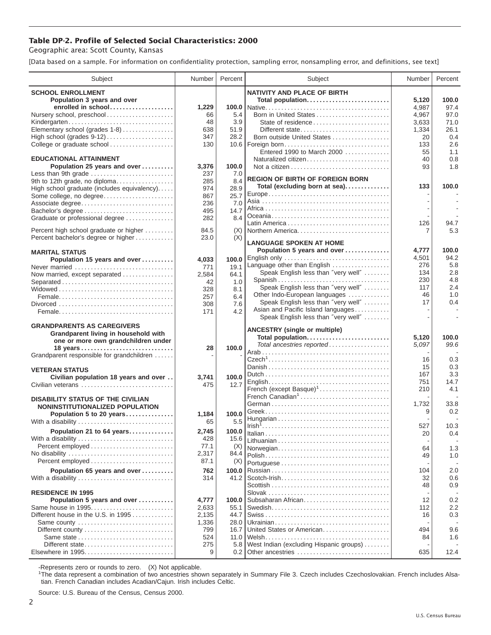## **Table DP-2. Profile of Selected Social Characteristics: 2000**

Geographic area: Scott County, Kansas

[Data based on a sample. For information on confidentiality protection, sampling error, nonsampling error, and definitions, see text]

| Subject                                                   | Number         | Percent      | Subject                                         | Number       | Percent     |
|-----------------------------------------------------------|----------------|--------------|-------------------------------------------------|--------------|-------------|
| <b>SCHOOL ENROLLMENT</b>                                  |                |              | <b>NATIVITY AND PLACE OF BIRTH</b>              |              |             |
| Population 3 years and over                               |                |              | Total population                                | 5,120        | 100.0       |
| enrolled in school                                        | 1,229          | 100.0        |                                                 | 4,987        | 97.4        |
| Nursery school, preschool                                 | 66             | 5.4          | Born in United States                           | 4,967        | 97.0        |
| Kindergarten                                              | 48             | 3.9          | State of residence                              | 3.633        | 71.0        |
| Elementary school (grades 1-8)                            | 638            | 51.9         | Different state                                 | 1,334        | 26.1        |
| High school (grades 9-12)<br>College or graduate school   | 347<br>130     | 28.2         | Born outside United States<br>10.6 Foreign born | 20<br>133    | 0.4<br>2.6  |
|                                                           |                |              | Entered 1990 to March 2000                      | 55           | 1.1         |
| <b>EDUCATIONAL ATTAINMENT</b>                             |                |              | Naturalized citizen                             | 40           | 0.8         |
| Population 25 years and over                              | 3,376          | 100.0        |                                                 | 93           | 1.8         |
| Less than 9th grade                                       | 237            | 7.0          |                                                 |              |             |
| 9th to 12th grade, no diploma                             | 285            | 8.4          | <b>REGION OF BIRTH OF FOREIGN BORN</b>          |              |             |
| High school graduate (includes equivalency)               | 974            | 28.9         | Total (excluding born at sea)                   | 133          | 100.0       |
| Some college, no degree                                   | 867            | 25.7         |                                                 |              |             |
| Associate degree                                          | 236            | 7.0          |                                                 |              |             |
| Bachelor's degree                                         | 495            | 14.7         |                                                 |              |             |
| Graduate or professional degree                           | 282            | 8.4          |                                                 | 126          | 94.7        |
| Percent high school graduate or higher                    | 84.5           | (X)          |                                                 | 7            | 5.3         |
| Percent bachelor's degree or higher                       | 23.0           | (X)          |                                                 |              |             |
|                                                           |                |              | <b>LANGUAGE SPOKEN AT HOME</b>                  |              |             |
| <b>MARITAL STATUS</b>                                     |                |              | Population 5 years and over                     | 4,777        | 100.0       |
| Population 15 years and over                              | 4,033          | 100.0        | English only<br>Language other than English     | 4,501<br>276 | 94.2<br>5.8 |
| Never married                                             | 771            | 19.1         | Speak English less than "very well"             | 134          | 2.8         |
| Now married, except separated                             | 2,584          | 64.1         | Spanish                                         | 230          | 4.8         |
|                                                           | 42             | 1.0          | Speak English less than "very well"             | 117          | 2.4         |
|                                                           | 328<br>257     | 8.1<br>6.4   | Other Indo-European languages                   | 46           | 1.0         |
|                                                           | 308            | 7.6          | Speak English less than "very well"             | 17           | 0.4         |
|                                                           | 171            | 4.2          | Asian and Pacific Island languages              |              |             |
|                                                           |                |              | Speak English less than "very well"             |              |             |
| <b>GRANDPARENTS AS CAREGIVERS</b>                         |                |              | <b>ANCESTRY</b> (single or multiple)            |              |             |
| Grandparent living in household with                      |                |              | Total population                                | 5,120        | 100.0       |
| one or more own grandchildren under                       |                |              | Total ancestries reported                       | 5,097        | 99.6        |
| 18 years                                                  | 28             | 100.0        |                                                 |              |             |
| Grandparent responsible for grandchildren                 |                |              |                                                 | 16           | 0.3         |
| <b>VETERAN STATUS</b>                                     |                |              |                                                 | 15           | 0.3         |
| Civilian population 18 years and over                     | 3.741          | 100.0        |                                                 | 167          | 3.3         |
| Civilian veterans                                         | 475            | 12.7         |                                                 | 751          | 14.7        |
|                                                           |                |              | French (except Basque) <sup>1</sup>             | 210          | 4.1         |
| <b>DISABILITY STATUS OF THE CIVILIAN</b>                  |                |              | French Canadian <sup>1</sup>                    |              |             |
| NONINSTITUTIONALIZED POPULATION                           |                |              |                                                 | 1,732        | 33.8        |
| Population 5 to 20 years                                  | 1,184          | 100.0        |                                                 | 9            | 0.2         |
| With a disability                                         | 65             | 5.5          |                                                 | 527          | 10.3        |
| Population 21 to 64 years                                 | 2,745          | 100.0        |                                                 | 20           | 0.4         |
| With a disability                                         | 428            | 15.6         |                                                 |              |             |
|                                                           | 77.1           | (X)          | Norwegian                                       | 64           | 1.3         |
| No disability                                             | 2,317          | 84.4         |                                                 | 49           | 1.0         |
|                                                           | 87.1           | (X)          |                                                 |              |             |
| Population 65 years and over                              | 762            | 100.0        |                                                 | 104          | 2.0         |
| With a disability                                         | 314            | 41.2         |                                                 | 32           | 0.6         |
|                                                           |                |              |                                                 | 48           | 0.9         |
| <b>RESIDENCE IN 1995</b>                                  |                |              |                                                 |              |             |
| Population 5 years and over                               | 4,777          | 100.0        | Subsaharan African                              | 12           | 0.2         |
| Same house in 1995<br>Different house in the U.S. in 1995 | 2,633          | 55.1<br>44.7 |                                                 | 112          | $2.2\,$     |
|                                                           | 2,135<br>1,336 | 28.0         |                                                 | 16           | 0.3         |
| Same county<br>Different county                           | 799            | 16.7         | United States or American                       | 494          | 9.6         |
| Same state                                                | 524            | 11.0         |                                                 | 84           | 1.6         |
| Different state                                           | 275            | 5.8          | West Indian (excluding Hispanic groups)         |              |             |
| Elsewhere in 1995                                         | 9              | 0.2          | Other ancestries                                | 635          | 12.4        |
|                                                           |                |              |                                                 |              |             |

-Represents zero or rounds to zero. (X) Not applicable. 1 The data represent a combination of two ancestries shown separately in Summary File 3. Czech includes Czechoslovakian. French includes Alsatian. French Canadian includes Acadian/Cajun. Irish includes Celtic.

Source: U.S. Bureau of the Census, Census 2000.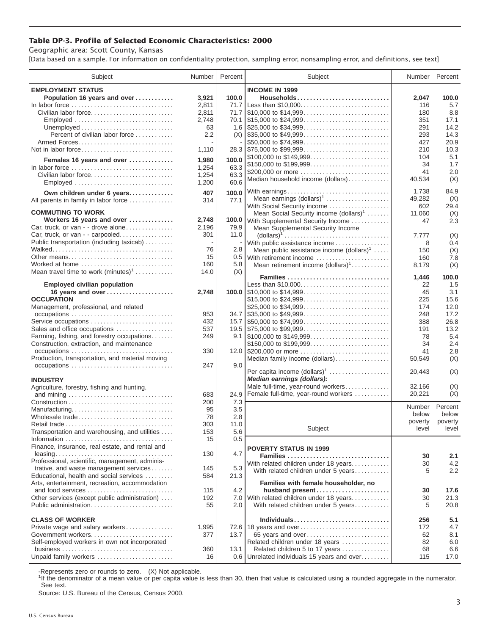## **Table DP-3. Profile of Selected Economic Characteristics: 2000**

Geographic area: Scott County, Kansas

[Data based on a sample. For information on confidentiality protection, sampling error, nonsampling error, and definitions, see text]

| Subject                                                             | Number | Percent | Subject                                                 | Number           | Percent          |
|---------------------------------------------------------------------|--------|---------|---------------------------------------------------------|------------------|------------------|
| <b>EMPLOYMENT STATUS</b>                                            |        |         | <b>INCOME IN 1999</b>                                   |                  |                  |
| Population 16 years and over                                        | 3,921  | 100.0   | Households                                              | 2,047            | 100.0            |
| In labor force                                                      | 2,811  | 71.7    | Less than \$10,000                                      | 116              | 5.7              |
| Civilian labor force                                                | 2,811  |         |                                                         | 180              | 8.8              |
| Employed                                                            | 2,748  |         | 70.1 \\$15,000 to \$24,999                              | 351              | 17.1             |
|                                                                     | 63     |         |                                                         | 291              | 14.2             |
| Percent of civilian labor force                                     | 2.2    |         | $(X)$ \\ \$35,000 to \$49,999                           | 293              | 14.3             |
|                                                                     |        |         | \$50,000 to \$74,999                                    | 427              | 20.9             |
| Not in labor force                                                  | 1,110  |         |                                                         | 210              | 10.3             |
| Females 16 years and over                                           | 1,980  | 100.0   | \$100,000 to \$149,999                                  | 104              | 5.1              |
| In labor force                                                      | 1,254  | 63.3    |                                                         | 34               | 1.7              |
| Civilian labor force                                                | 1,254  | 63.3    | \$200,000 or more                                       | 41               | 2.0              |
| Employed                                                            | 1,200  | 60.6    | Median household income (dollars)                       | 40,534           | (X)              |
|                                                                     |        |         |                                                         |                  |                  |
| Own children under 6 years                                          | 407    | 100.0   | With earnings<br>Mean earnings (dollars) <sup>1</sup>   | 1,738            | 84.9             |
| All parents in family in labor force                                | 314    | 77.1    | With Social Security income                             | 49,282<br>602    | (X)<br>29.4      |
| <b>COMMUTING TO WORK</b>                                            |        |         | Mean Social Security income (dollars) <sup>1</sup>      | 11,060           | (X)              |
| Workers 16 years and over                                           | 2,748  |         | 100.0 With Supplemental Security Income                 | 47               | 2.3              |
| Car, truck, or van - - drove alone                                  | 2,196  | 79.9    | Mean Supplemental Security Income                       |                  |                  |
| Car, truck, or van - - carpooled                                    | 301    | 11.0    |                                                         | 7,777            | (X)              |
| Public transportation (including taxicab)                           |        |         | With public assistance income                           | 8                | 0.4              |
|                                                                     | 76     | 2.8     | Mean public assistance income $(dollars)1 \ldots$ .     | 150              | (X)              |
| Other means                                                         | 15     |         | 0.5 With retirement income                              | 160              | 7.8              |
| Worked at home                                                      | 160    | 5.8     | Mean retirement income $(dollars)1$                     | 8,179            | (X)              |
| Mean travel time to work $(minutes)^1$                              | 14.0   | (X)     |                                                         |                  |                  |
|                                                                     |        |         | Families                                                | 1,446            | 100.0            |
| <b>Employed civilian population</b>                                 |        |         | Less than \$10,000                                      | 22               | 1.5              |
| 16 years and over                                                   | 2,748  |         |                                                         | 45               | 3.1              |
| <b>OCCUPATION</b>                                                   |        |         | \$15,000 to \$24,999                                    | 225              | 15.6             |
| Management, professional, and related                               |        |         | \$25,000 to \$34,999                                    | 174              | 12.0             |
|                                                                     | 953    |         | $34.7$ \\ \$35,000 to \$49,999                          | 248              | 17.2             |
| Service occupations                                                 | 432    |         |                                                         | 388              | 26.8             |
| Sales and office occupations                                        | 537    |         |                                                         | 191              | 13.2             |
| Farming, fishing, and forestry occupations                          | 249    |         |                                                         | 78               | 5.4              |
| Construction, extraction, and maintenance<br>occupations            | 330    |         | \$150,000 to \$199,999<br>12.0 \$200,000 or more        | 34<br>41         | 2.4<br>2.8       |
| Production, transportation, and material moving                     |        |         |                                                         |                  |                  |
|                                                                     | 247    | 9.0     | Median family income (dollars)                          | 50,549           | (X)              |
|                                                                     |        |         | Per capita income $(dollars)1$                          | 20,443           | (X)              |
| <b>INDUSTRY</b>                                                     |        |         | Median earnings (dollars):                              |                  |                  |
| Agriculture, forestry, fishing and hunting,                         |        |         | Male full-time, year-round workers                      | 32,166           | (X)              |
|                                                                     | 683    | 24.9    | Female full-time, year-round workers                    | 20,221           | (X)              |
|                                                                     | 200    | 7.3     |                                                         |                  |                  |
| Manufacturing                                                       | 95     | 3.5     |                                                         | Number           | Percent          |
| Wholesale trade                                                     | 78     | 2.8     |                                                         | below            | below            |
| Retail trade                                                        | 303    | 11.0    | Subject                                                 | poverty<br>level | poverty<br>level |
| Transportation and warehousing, and utilities                       | 153    | 5.6     |                                                         |                  |                  |
|                                                                     | 15     | 0.5     |                                                         |                  |                  |
| Finance, insurance, real estate, and rental and                     |        |         | <b>POVERTY STATUS IN 1999</b>                           |                  |                  |
|                                                                     | 130    | 4.7     | Families                                                | 30               | 2.1              |
| Professional, scientific, management, adminis-                      |        |         | With related children under 18 years                    | 30               | 4.2              |
| trative, and waste management services                              | 145    | 5.3     | With related children under 5 years                     | 5                | 2.2              |
| Educational, health and social services                             | 584    | 21.3    |                                                         |                  |                  |
| Arts, entertainment, recreation, accommodation<br>and food services | 115    | 4.2     | Families with female householder, no<br>husband present | 30               | 17.6             |
| Other services (except public administration)                       | 192    | 7.0     | With related children under 18 years                    | 30               | 21.3             |
| Public administration                                               | 55     | 2.0     | With related children under 5 years                     | 5                | 20.8             |
|                                                                     |        |         |                                                         |                  |                  |
| <b>CLASS OF WORKER</b>                                              |        |         | Individuals                                             | 256              | 5.1              |
| Private wage and salary workers                                     | 1,995  |         | 72.6 18 years and over                                  | 172              | 4.7              |
| Government workers                                                  | 377    | 13.7    | 65 years and over                                       | 62               | 8.1              |
| Self-employed workers in own not incorporated                       |        |         | Related children under 18 years                         | 82               | 6.0              |
|                                                                     | 360    | 13.1    | Related children 5 to 17 years                          | 68               | 6.6              |
| Unpaid family workers                                               | 16     |         | 0.6 Unrelated individuals 15 years and over             | 115              | 17.0             |

-Represents zero or rounds to zero. (X) Not applicable.

<sup>1</sup>If the denominator of a mean value or per capita value is less than 30, then that value is calculated using a rounded aggregate in the numerator. See text.

Source: U.S. Bureau of the Census, Census 2000.